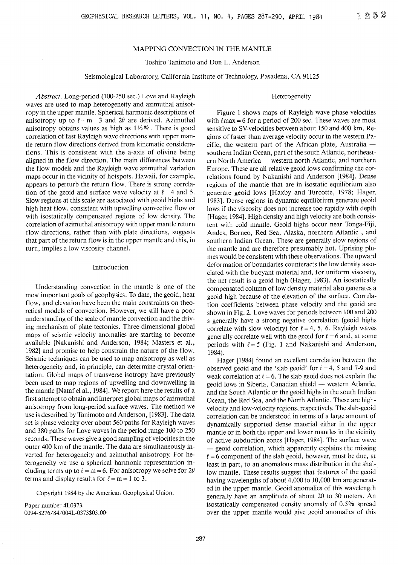# MAPPING CONVECTION IN THE MANTLE

Toshiro Tanimoto and Don L. Anderson

# Seismological Laboratory, California Institute of Technology, Pasadena, CA 91125

#### Heterogeneity

*Abstract.* Long-period (100-250 sec.) Love and Rayleigh waves are used to map heterogeneity and azimuthal anisotropy in the upper mantle. Spherical harmonic descriptions of anisotropy up to  $\ell = m = 3$  and  $2\theta$  are derived. Azimuthal anisotropy obtains values as high as  $1\frac{1}{2}\%$ . There is good correlation of fast Rayleigh wave directions with upper mantle return flow directions derived from kinematic considerations. This is consistent with the a-axis of olivine being aligned in the flow direction. The main differences between the flow models and the Rayleigh wave azimuthal variation maps occur in the vicinity of hotspots. Hawaii, for example, appears to perturb the return flow. There is strong correlation of the geoid and surface wave velocity at  $\ell = 4$  and 5. Slow regions at this scale are associated with geoid highs and high heat flow, consistent with upwelling convective flow or with isostatically compensated regions of low density. The correlation of azimuthal anisotropy with upper mantle return flow directions, rather than with plate directions, suggests that part of the return flow is in the upper mantle and this, in turn, implies a low viscosity channel.

### Introduction

Understanding convection in the mantle is one of the most important goals of geophysics. To date, the geoid, heat flow, and elevation have been the main constraints on theoretical models of convection. However, we still have a poor understanding of the scale of mantle convection and the driving mechanism of plate tectonics. Three-dimensional global maps of seismic velocity anomalies are starting to become available [Nakanishi and Anderson, 1984; Masters et al., 1982] and promise to help constrain the nature of the flow. Seismic techniques can be used to map anisotropy as well as heterogeneity and, in principle, can determine crystal orientation. Global maps of transverse isotropy have previously been used to map regions of upwelling and downwelling in the mantle [Nataf el a!., 1984]. We report here the results of a first attempt to obtain and interpret global maps of azimuthal anisotropy from long-period surface waves. The method we use is described by Tanimoto and Anderson, [1983]. The data set is phase velocity over about 560 paths for Rayleigh waves and 380 paths for Love waves in the period range 100 to 250 seconds. These waves give a good sampling of velocities in the outer 400 km of the mantle. The data are simultaneously inverted for heterogeneity and azimuthal anisotropy. For heterogeneity we use a spherical harmonic representation including terms up to  $\ell = m = 6$ . For anisotropy we solve for  $2\theta$ terms and display results for  $\ell = m = 1$  to 3.

Copyright 1984 by the American Geophysical Union.

Paper number 4L0373. 0094-8276/84/004L-0373\$03.00

Figure 1 shows maps of Rayleigh wave phase velocities with  $\ell$ max = 6 for a period of 200 sec. These waves are most sensitive to SV-velocities between about 150 and 400 km. Regions of faster than average velocity occur in the western Pacific, the western part of the African plate, Australia southern Indian Ocean, part of the south Atlantic, northeastern North America - western north Atlantic, and northern Europe. These are all relative geoid lows confirming the correlations found by Nakanishi and Anderson [1984]. Dense regions of the mantle that are in isostatic equilibrium also generate geoid lows [Haxby and Turcotte, 1978; Hager, 1983]. Dense regions in dynamic equilibrium generate geoid lows if the viscosity does not increase too rapidly with depth [Hager, 1984]. High density and high velocity are both consistent with cold mantle. Geoid highs occur near Tonga-Fiji, Andes, Borneo, Red Sea, Alaska, northern Atlantic , and southern Indian Ocean. These are generally slow regions of the mantle and are therefore presumably hot. Uprising plumes would be consistent with these observations. The upward deformation of boundaries counteracts the low density associated with the buoyant material and, for uniform viscosity, the net result is a geoid high (Hager, 1983). An isostatically compensated column of low density material also generates a geoid high because of the elevation of the surface. Correlation coefficients between phase velocity and the geoid are shown in Fig. 2. Love waves for periods between 100 and 200 s generally have a strong negative correlation (geoid highs correlate with slow velocity) for  $\ell = 4, 5, 6$ . Rayleigh waves generally correlate well with the geoid for  $l = 6$  and, at some periods with  $\ell = 5$  (Fig. 1 and Nakanishi and Anderson, 1984).

Hager [1984] found an excellent correlation between the observed geoid and the 'slab geoid' for  $\ell = 4$ , 5 and 7-9 and weak correlation at  $l = 6$ . The slab geoid does not explain the geoid lows in Siberia, Canadian shield — western Atlantic, and the South Atlantic or the geoid highs in the south Indian Ocean, the Red Sea, and the North Atlantic. These are highvelocity and low-velocity regions, respectively. The slab-geoid correlation can be understood in terms of a large amount of dynamically supported dense material either in the upper mantle or in both the upper and lower mantles in the vicinity of active subduction zones [Hager, 1984]. The surface wave - geoid correlation, which apparently explains the missing  $l = 6$  component of the slab geoid, however, must be due, at least in part, to an anomalous mass distribution in the shallow mantle. These results suggest that features of the geoid having wavelengths of about 4,000 to 10,000 km are generated in the upper mantle. Geoid anomalies of this wavelength generally have an amplitude of about 20 to 30 meters. An isostatically compensated density anomaly of 0.5% spread over the upper mantle would give geoid anomalies of this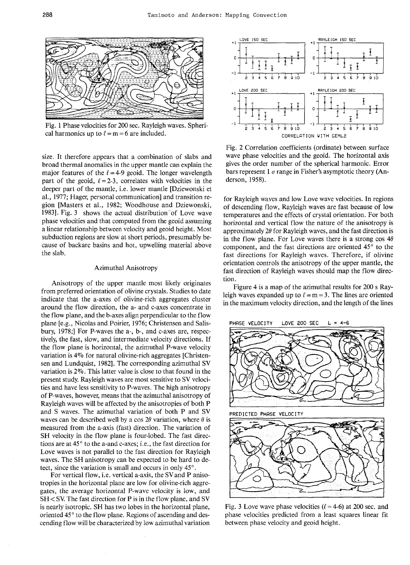

Fig. 1 Phase velocities for 200 sec. Rayleigh waves. Spherical harmonics up to  $\ell = m = 6$  are included.

size. It therefore appears that a combination of slabs and broad thermal anomalies in the upper mantle can explain the major features of the  $\ell = 4-9$  geoid. The longer wavelength part of the geoid,  $\ell = 2-3$ , correlates with velocities in the deeper part of the mantle, i.e. lower mantle [Dziewonski et al., 1977; Hager, personal communication] and transition region [Masters et al., 1982; Woodhouse and Dziewonski, 1983]. Fig. 3 shows the actual distribution of Love wave phase velocities and that computed from the geoid assuming a linear relationship between velocity and geoid height. Most subduction regions are slow at short periods, presumably because of backarc basins and hot, upwelling material above the slab.

#### Azimuthal Anisotropy

Anisotropy of the upper mantle most likely originates from preferred orientation of olivine crystals. Studies to date indicate that the a-axes of olivine-rich aggregates cluster around the flow direction, the a- and c-axes concentrate in the flow plane, and the b-axes align perpendicular to the flow plane [e.g., Nicolas and Poirier, 1976; Christensen and Salisbury, 1978;] For P-waves the a-, b-, and c-axes are, respectively, the fast, slow, and intermediate velocity directions. If the flow plane is horizontal, the azimuthal P-wave velocity variation is 4% for natural olivine-rich aggregates [Christensen and Lundquist, 1982]. The corresponding azimuthal SV variation is 2%. This latter value is close to that found in the present study. Rayleigh waves are most sensitive to SV velocities and have less sensitivity to P-waves. The high anisotropy of P-waves, however, means that the azimuthal anisotropy of Rayleigh waves will be affected by the anisotropies of both P and S waves. The azimuthal variation of both P and SV waves can be described well by a cos  $2\theta$  variation, where  $\theta$  is measured from the a-axis (fast) direction. The variation of SH velocity in the flow plane is four-lobed. The fast directions are at 45° to the a-and c-axes; i.e., the fast direction for Love waves is not parallel to the fast direction for Rayleigh waves. The SH anisotropy can be expected to be hard to detect, since the variation is small and occurs in only 45°.

For vertical flow, i.e. vertical a-axis, the SVand P anisotropies in the horizontal plane are low for olivine-rich aggregates, the average horizontal P-wave velocity is low, and SH < SV The fast direction for P is in the flow plane, and SV is nearly isotropic. SH has two lobes in the horizontal plane, oriented  $45^\circ$  to the flow plane. Regions of ascending and descending flow will be characterized by low azimuthal variation



Fig. 2 Correlation coefficients (ordinate) between surface wave phase velocities and the geoid. The horizontal axis gives the order number of the spherical harmonic. Error bars represent 1 *a* range in Fisher's asymptotic theory (Anderson, 1958).

for Rayleigh waves and low Love wave velocities. In regions of descending flow, Rayleigh waves are fast because of low temperatures and the effects of crystal orientation. For both horizontal and vertical flow the nature of the anisotropy is approximately *20* for Rayleigh waves, and the fast direction is in the flow plane. For Love waves there is a strong  $\cos 4\theta$ component, and the fast directions are oriented  $45^\circ$  to the fast directions for Rayleigh waves. Therefore, if olivine orientation controls the anisotropy of the upper mantle, the fast direction of Rayleigh waves should map the flow direction.

Figure 4 is a map of the azimuthal results for 200 s Rayleigh waves expanded up to  $\ell = m = 3$ . The lines are oriented in the maximum velocity direction, and the length of the lines



Fig. 3 Love wave phase velocities ( $\ell$  = 4-6) at 200 sec. and phase velocities predicted from a least squares linear fit between phase velocity and geoid height.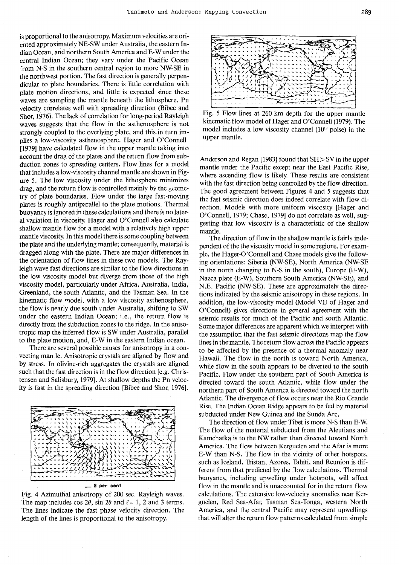is proportional to the anisotropy. Maximum velocities are oriented approximately NE-SW under Australia, the eastern Indian Ocean, and northern South America and E-Wunder the central Indian Ocean; they vary under the Pacific Ocean from N-S in the southern central region to more NW-SE in the northwest portion. The fast direction is generally perpendicular to plate boundaries. There is little correlation with plate motion directions, and little is expected since these waves are sampling the mantle beneath the lithosphere. Pn velocity correlates well with spreading direction (Bibee and Shor, 1976). The lack of correlation for long-period Rayleigh waves suggests that the flow in the asthenosphere is not strongly coupled to the overlying plate, and this in turn implies a low-viscosity asthenosphere. Hager and O'Connell [1979] have calculated flow in the upper mantle taking into account the drag of the plates and the return flow from subduction zones to spreading centers. Flow lines for a model that includes a low-viscosity channel mantle are shown in Figure 5. The low viscosity under the lithosphere minimizes drag, and the return flow is controlled mainly by the  $\epsilon$  cometry of plate boundaries. Flow under the large fast-moving plates is roughly antiparallel to the plate motions. Thermal buoyancy is ignored in these calculations and there is no lateral variation in viscosity. Hager and  $O'$ Connell also calculate shallow mantle flow for a model with a relatively high upper mantle viscosity. In this model there is some coupling between the plate and the underlying mantle; consequently, material is dragged along with the plate. There are major differences in the orientation of flow lines in these two models. The Rayleigh wave fast directions are similar to the flow directions in the low viscosity model but diverge from those of the high viscosity model, particularly under Africa, Australia, India, Greenland, the south Atlantic, and the Tasman Sea. In the kinematic flow model, with a low viscosity asthenosphere, the flow is nearly due south under Australia, shifting to SW under the eastern Indian Ocean; i.e., the return flow is directly from the subduction zones to the ridge. In the anisotropic map the inferred flow is SW under Australia, parallel to the plate motion, and, E-W in the eastern Indian ocean.

There are several possible causes for anisotropy in a convecting mantle. Anisotropic crystals are aligned by flow and by stress. In olivine-rich aggregates the crystals are aligned such that the fast direction is in the flow direction [e.g. Christensen and Salisbury, 1979]. At shallow depths the Pn velocity is fast in the spreading direction [Bibee and Shor, 1976].



Fig. 4 Azimuthal anisotropy of 200 sec. Rayleigh waves. The map includes cos  $2\theta$ , sin  $2\theta$  and  $\ell = 1$ , 2 and 3 terms. The lines indicate the fast phase velocity direction. The length of the lines is proportional to the anisotropy.



Fig. 5 Flow lines at 260 km depth for the upper mantle kinematic flow model of Hager and O'Connell (1979). The model includes a low viscosity channel  $(10^{19} \text{ poise})$  in the upper mantle.

Anderson and Regan [1983] found that SH > SV in the upper mantle under the Pacific except near the East Pacific Rise, where ascending flow is likely. These results are consistent with the fast direction being controlled by the flow direction. The good agreement between Figures 4 and 5 suggests that the fast seismic direction does indeed correlate with flow direction. Models with more uniform viscosity [Hager and O'Connell, 1979; Chase, 1979] do not correlate as well, suggesting that low viscosity is a characteristic of the shallow mantle.

The direction of flow in the shallow mantle is fairly independent of the the viscosity model in some regions. For example, the Hager-O'Connell and Chase models give the following orientations: Siberia (NW-SE), North America (NW-SE in the north changing to  $N-S$  in the south), Europe (E-W), Nazca plate (E-W), Southern South America (NW-SE), and N.E. Pacific (NW-SE). These are approximately the directions indicated by the seismic anisotropy in these regions. In addition, the low-viscosity model (Model VII of Hager and O'Connell) gives directions in general agreement with the seismic results for much of the Pacific and south Atlantic. Some major differences are apparent which we interpret with the assumption that the fast seismic directions map the flow lines in the mantle. The return flow across the Pacific appears to be affected by the presence of a thermal anomaly near Hawaii. The flow in the north is toward North America, while flow in the south appears to be diverted to the south Pacific. Flow under the southern part of South America is directed toward the south Atlantic, while flow under the northern part of South America is directed toward the north Atlantic. The divergence of flow occurs near the Rio Grande Rise. The Indian Ocean Ridge appears to be fed by material subducted under New Guinea and the Sunda Arc.

The direction of flow under Tibet is more N-S than E-W. The flow of the material subducted from the Aleutians and Kamchatka is to the NW rather than directed toward North America. The flow between Kerguelen and the Afar is more E-W than N-S. The flow in the vicinity of other hotspots, such as Iceland, Tristan, Azores, Tahiti, and Reunion is different from that predicted by the flow calculations. Thermal buoyancy, including upwelling under hotspots, will affect flow in the mantle and is unaccounted for in the return flow calculations. The extensive low-velocity anomalies near Kerguelen, Red Sea-Afar, Tasman Sea-Tonga, western North America, and the central Pacific may represent upwellings that will alter the return flow patterns calculated from simple